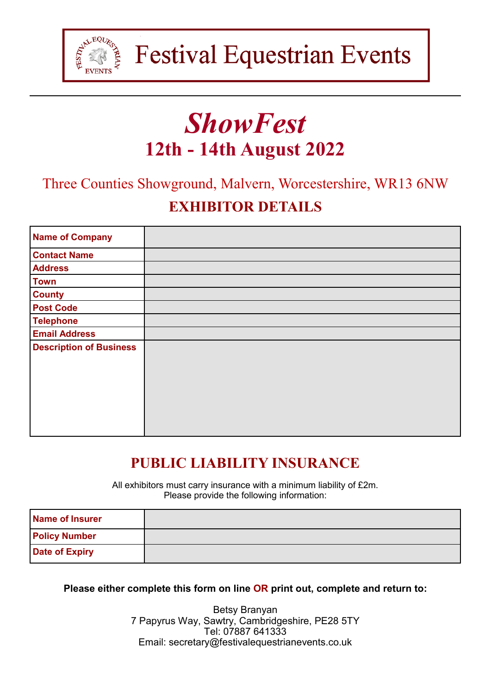

# *ShowFest* **12th - 14th August 2022**

Three Counties Showground, Malvern, Worcestershire, WR13 6NW

# **EXHIBITOR DETAILS**

| <b>Name of Company</b>         |  |
|--------------------------------|--|
| <b>Contact Name</b>            |  |
| <b>Address</b>                 |  |
| <b>Town</b>                    |  |
| <b>County</b>                  |  |
| <b>Post Code</b>               |  |
| <b>Telephone</b>               |  |
| <b>Email Address</b>           |  |
| <b>Description of Business</b> |  |

# **PUBLIC LIABILITY INSURANCE**

All exhibitors must carry insurance with a minimum liability of £2m. Please provide the following information:

| Name of Insurer       |  |
|-----------------------|--|
| <b>Policy Number</b>  |  |
| <b>Date of Expiry</b> |  |

**Please either complete this form on line OR print out, complete and return to:**

Betsy Branyan 7 Papyrus Way, Sawtry, Cambridgeshire, PE28 5TY Tel: 07887 641333 Email: secretary@festivalequestrianevents.co.uk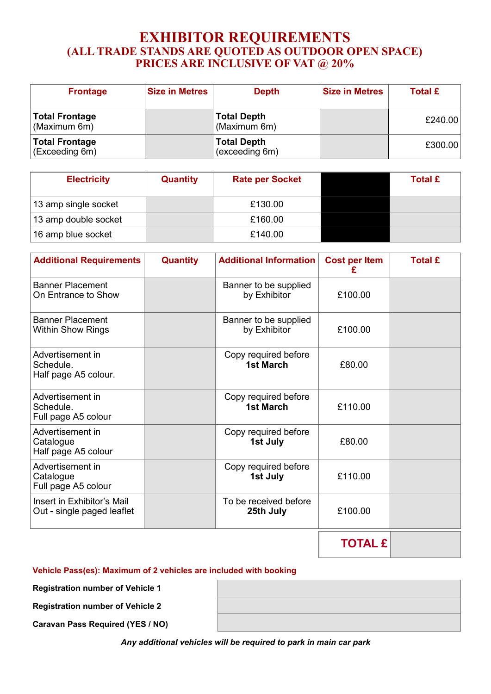#### **EXHIBITOR REQUIREMENTS (ALL TRADE STANDS ARE QUOTED AS OUTDOOR OPEN SPACE) PRICES ARE INCLUSIVE OF VAT @ 20%**

| <b>Frontage</b>                         | <b>Size in Metres</b> | <b>Depth</b>                         | <b>Size in Metres</b> | <b>Total £</b> |
|-----------------------------------------|-----------------------|--------------------------------------|-----------------------|----------------|
| <b>Total Frontage</b><br>(Maximum 6m)   |                       | <b>Total Depth</b><br>(Maximum 6m)   |                       | £240.00        |
| <b>Total Frontage</b><br>(Exceeding 6m) |                       | <b>Total Depth</b><br>(exceeding 6m) |                       | £300.00        |

| <b>Electricity</b>   | <b>Quantity</b> | <b>Rate per Socket</b> | <b>Total £</b> |
|----------------------|-----------------|------------------------|----------------|
| 13 amp single socket |                 | £130.00                |                |
| 13 amp double socket |                 | £160.00                |                |
| 16 amp blue socket   |                 | £140.00                |                |

| <b>Additional Requirements</b>                           | Quantity | <b>Additional Information</b>            | <b>Cost per Item</b><br>£ | <b>Total £</b> |
|----------------------------------------------------------|----------|------------------------------------------|---------------------------|----------------|
| <b>Banner Placement</b><br>On Entrance to Show           |          | Banner to be supplied<br>by Exhibitor    | £100.00                   |                |
| <b>Banner Placement</b><br>Within Show Rings             |          | Banner to be supplied<br>by Exhibitor    | £100.00                   |                |
| Advertisement in<br>Schedule.<br>Half page A5 colour.    |          | Copy required before<br><b>1st March</b> | £80.00                    |                |
| Advertisement in<br>Schedule.<br>Full page A5 colour     |          | Copy required before<br><b>1st March</b> | £110.00                   |                |
| Advertisement in<br>Catalogue<br>Half page A5 colour     |          | Copy required before<br>1st July         | £80.00                    |                |
| Advertisement in<br>Catalogue<br>Full page A5 colour     |          | Copy required before<br>1st July         | £110.00                   |                |
| Insert in Exhibitor's Mail<br>Out - single paged leaflet |          | To be received before<br>25th July       | £100.00                   |                |
|                                                          |          |                                          | <b>TOTAL £</b>            |                |

**Vehicle Pass(es): Maximum of 2 vehicles are included with booking**

**Registration number of Vehicle 1**

**Registration number of Vehicle 2**

**Caravan Pass Required (YES / NO)**

| ,我们也不会有什么?""我们的人,我们也不会有什么?""我们的人,我们也不会有什么?""我们的人,我们也不会有什么?""我们的人,我们也不会有什么?""我们的人 |  |  |
|----------------------------------------------------------------------------------|--|--|
|                                                                                  |  |  |
|                                                                                  |  |  |
|                                                                                  |  |  |
|                                                                                  |  |  |
|                                                                                  |  |  |

*Any additional vehicles will be required to park in main car park*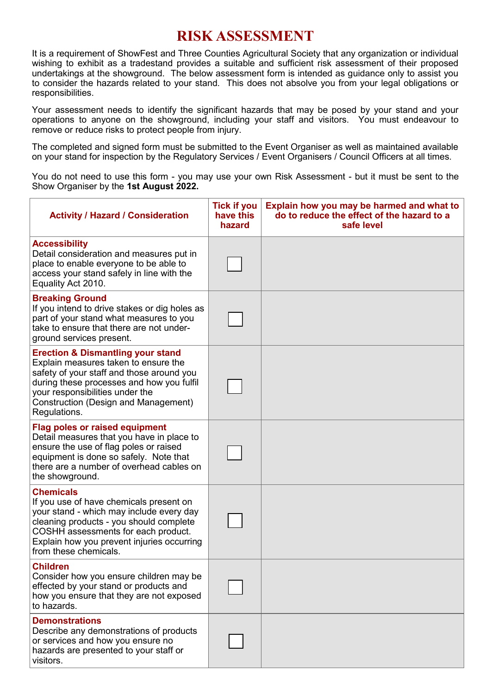# **RISK ASSESSMENT**

It is a requirement of ShowFest and Three Counties Agricultural Society that any organization or individual wishing to exhibit as a tradestand provides a suitable and sufficient risk assessment of their proposed undertakings at the showground. The below assessment form is intended as guidance only to assist you to consider the hazards related to your stand. This does not absolve you from your legal obligations or responsibilities.

Your assessment needs to identify the significant hazards that may be posed by your stand and your operations to anyone on the showground, including your staff and visitors. You must endeavour to remove or reduce risks to protect people from injury.

The completed and signed form must be submitted to the Event Organiser as well as maintained available on your stand for inspection by the Regulatory Services / Event Organisers / Council Officers at all times.

You do not need to use this form - you may use your own Risk Assessment - but it must be sent to the Show Organiser by the **1st August 2022.**

| <b>Activity / Hazard / Consideration</b>                                                                                                                                                                                                                                  | <b>Tick if you</b><br>have this<br>hazard | Explain how you may be harmed and what to<br>do to reduce the effect of the hazard to a<br>safe level |
|---------------------------------------------------------------------------------------------------------------------------------------------------------------------------------------------------------------------------------------------------------------------------|-------------------------------------------|-------------------------------------------------------------------------------------------------------|
| <b>Accessibility</b><br>Detail consideration and measures put in<br>place to enable everyone to be able to<br>access your stand safely in line with the<br>Equality Act 2010.                                                                                             |                                           |                                                                                                       |
| <b>Breaking Ground</b><br>If you intend to drive stakes or dig holes as<br>part of your stand what measures to you<br>take to ensure that there are not under-<br>ground services present.                                                                                |                                           |                                                                                                       |
| <b>Erection &amp; Dismantling your stand</b><br>Explain measures taken to ensure the<br>safety of your staff and those around you<br>during these processes and how you fulfil<br>your responsibilities under the<br>Construction (Design and Management)<br>Regulations. |                                           |                                                                                                       |
| <b>Flag poles or raised equipment</b><br>Detail measures that you have in place to<br>ensure the use of flag poles or raised<br>equipment is done so safely. Note that<br>there are a number of overhead cables on<br>the showground.                                     |                                           |                                                                                                       |
| <b>Chemicals</b><br>If you use of have chemicals present on<br>your stand - which may include every day<br>cleaning products - you should complete<br>COSHH assessments for each product.<br>Explain how you prevent injuries occurring<br>from these chemicals.          |                                           |                                                                                                       |
| <b>Children</b><br>Consider how you ensure children may be<br>effected by your stand or products and<br>how you ensure that they are not exposed<br>to hazards.                                                                                                           |                                           |                                                                                                       |
| <b>Demonstrations</b><br>Describe any demonstrations of products<br>or services and how you ensure no<br>hazards are presented to your staff or<br>visitors.                                                                                                              |                                           |                                                                                                       |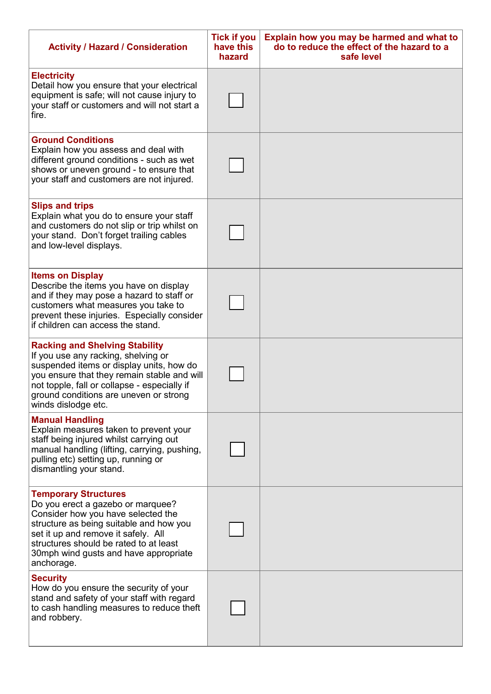| <b>Activity / Hazard / Consideration</b>                                                                                                                                                                                                                                                  | <b>Tick if you</b><br>have this<br>hazard | Explain how you may be harmed and what to<br>do to reduce the effect of the hazard to a<br>safe level |
|-------------------------------------------------------------------------------------------------------------------------------------------------------------------------------------------------------------------------------------------------------------------------------------------|-------------------------------------------|-------------------------------------------------------------------------------------------------------|
| <b>Electricity</b><br>Detail how you ensure that your electrical<br>equipment is safe; will not cause injury to<br>your staff or customers and will not start a<br>fire.                                                                                                                  |                                           |                                                                                                       |
| <b>Ground Conditions</b><br>Explain how you assess and deal with<br>different ground conditions - such as wet<br>shows or uneven ground - to ensure that<br>your staff and customers are not injured.                                                                                     |                                           |                                                                                                       |
| <b>Slips and trips</b><br>Explain what you do to ensure your staff<br>and customers do not slip or trip whilst on<br>your stand. Don't forget trailing cables<br>and low-level displays.                                                                                                  |                                           |                                                                                                       |
| <b>Items on Display</b><br>Describe the items you have on display<br>and if they may pose a hazard to staff or<br>customers what measures you take to<br>prevent these injuries. Especially consider<br>if children can access the stand.                                                 |                                           |                                                                                                       |
| <b>Racking and Shelving Stability</b><br>If you use any racking, shelving or<br>suspended items or display units, how do<br>you ensure that they remain stable and will<br>not topple, fall or collapse - especially if<br>ground conditions are uneven or strong<br>winds dislodge etc.  |                                           |                                                                                                       |
| <b>Manual Handling</b><br>Explain measures taken to prevent your<br>staff being injured whilst carrying out<br>manual handling (lifting, carrying, pushing,<br>pulling etc) setting up, running or<br>dismantling your stand.                                                             |                                           |                                                                                                       |
| <b>Temporary Structures</b><br>Do you erect a gazebo or marquee?<br>Consider how you have selected the<br>structure as being suitable and how you<br>set it up and remove it safely. All<br>structures should be rated to at least<br>30mph wind gusts and have appropriate<br>anchorage. |                                           |                                                                                                       |
| <b>Security</b><br>How do you ensure the security of your<br>stand and safety of your staff with regard<br>to cash handling measures to reduce theft<br>and robbery.                                                                                                                      |                                           |                                                                                                       |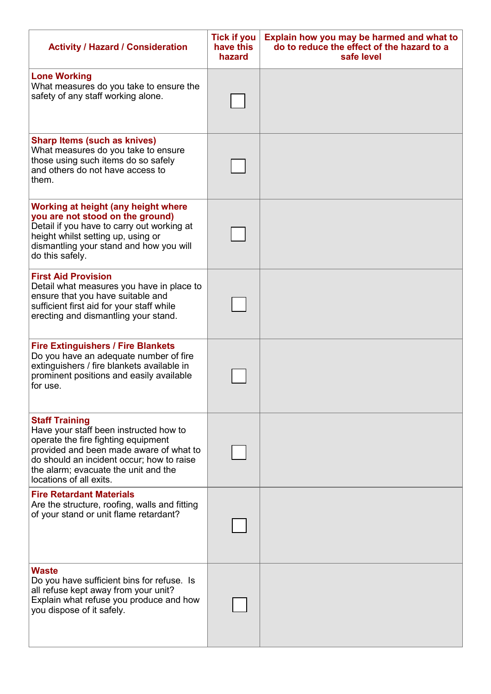| <b>Activity / Hazard / Consideration</b>                                                                                                                                                                                                                          | <b>Tick if you</b><br>have this<br>hazard | Explain how you may be harmed and what to<br>do to reduce the effect of the hazard to a<br>safe level |
|-------------------------------------------------------------------------------------------------------------------------------------------------------------------------------------------------------------------------------------------------------------------|-------------------------------------------|-------------------------------------------------------------------------------------------------------|
| <b>Lone Working</b><br>What measures do you take to ensure the<br>safety of any staff working alone.                                                                                                                                                              |                                           |                                                                                                       |
| <b>Sharp Items (such as knives)</b><br>What measures do you take to ensure<br>those using such items do so safely<br>and others do not have access to<br>them.                                                                                                    |                                           |                                                                                                       |
| Working at height (any height where<br>you are not stood on the ground)<br>Detail if you have to carry out working at<br>height whilst setting up, using or<br>dismantling your stand and how you will<br>do this safely.                                         |                                           |                                                                                                       |
| <b>First Aid Provision</b><br>Detail what measures you have in place to<br>ensure that you have suitable and<br>sufficient first aid for your staff while<br>erecting and dismantling your stand.                                                                 |                                           |                                                                                                       |
| <b>Fire Extinguishers / Fire Blankets</b><br>Do you have an adequate number of fire<br>extinguishers / fire blankets available in<br>prominent positions and easily available<br>for use.                                                                         |                                           |                                                                                                       |
| <b>Staff Training</b><br>Have your staff been instructed how to<br>operate the fire fighting equipment<br>provided and been made aware of what to<br>do should an incident occur; how to raise<br>the alarm; evacuate the unit and the<br>locations of all exits. |                                           |                                                                                                       |
| <b>Fire Retardant Materials</b><br>Are the structure, roofing, walls and fitting<br>of your stand or unit flame retardant?                                                                                                                                        |                                           |                                                                                                       |
| <b>Waste</b><br>Do you have sufficient bins for refuse. Is<br>all refuse kept away from your unit?<br>Explain what refuse you produce and how<br>you dispose of it safely.                                                                                        |                                           |                                                                                                       |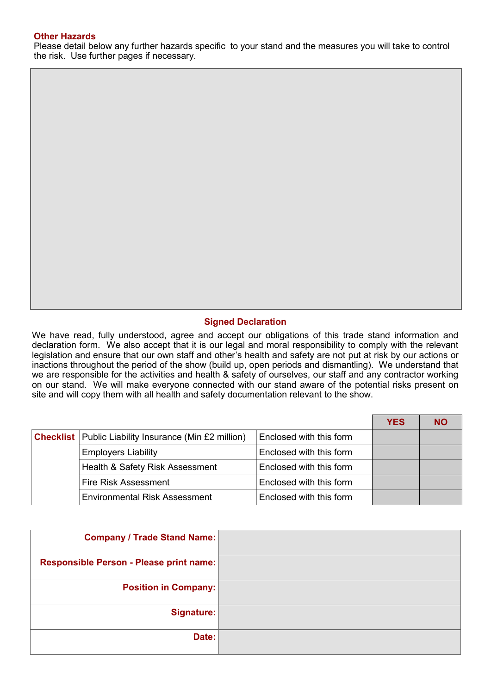#### **Other Hazards**

Please detail below any further hazards specific to your stand and the measures you will take to control the risk. Use further pages if necessary.

#### **Signed Declaration**

We have read, fully understood, agree and accept our obligations of this trade stand information and declaration form. We also accept that it is our legal and moral responsibility to comply with the relevant legislation and ensure that our own staff and other's health and safety are not put at risk by our actions or inactions throughout the period of the show (build up, open periods and dismantling). We understand that we are responsible for the activities and health & safety of ourselves, our staff and any contractor working on our stand. We will make everyone connected with our stand aware of the potential risks present on site and will copy them with all health and safety documentation relevant to the show.

|                                                                |                         | <b>YES</b> |  |
|----------------------------------------------------------------|-------------------------|------------|--|
| <b>Checklist</b>   Public Liability Insurance (Min £2 million) | Enclosed with this form |            |  |
| <b>Employers Liability</b>                                     | Enclosed with this form |            |  |
| Health & Safety Risk Assessment                                | Enclosed with this form |            |  |
| Fire Risk Assessment                                           | Enclosed with this form |            |  |
| <b>Environmental Risk Assessment</b>                           | Enclosed with this form |            |  |

| <b>Company / Trade Stand Name:</b>      |
|-----------------------------------------|
| Responsible Person - Please print name: |
| <b>Position in Company:</b>             |
| <b>Signature:</b>                       |
| Date:                                   |